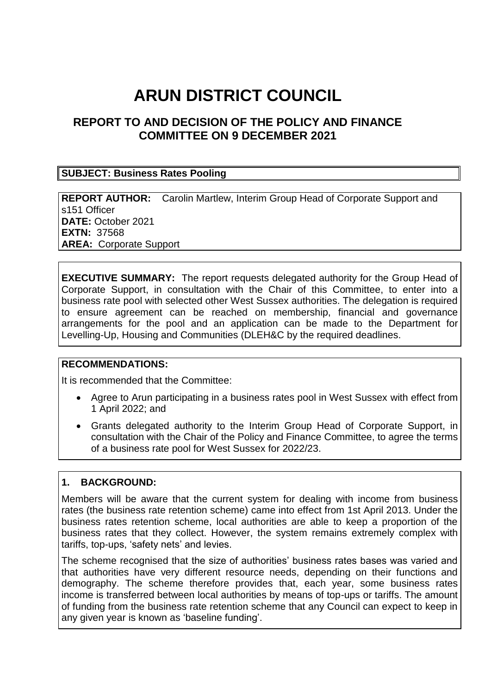# **ARUN DISTRICT COUNCIL**

## **REPORT TO AND DECISION OF THE POLICY AND FINANCE COMMITTEE ON 9 DECEMBER 2021**

#### **SUBJECT: Business Rates Pooling**

**REPORT AUTHOR:** Carolin Martlew, Interim Group Head of Corporate Support and s151 Officer **DATE:** October 2021 **EXTN:** 37568 **AREA:** Corporate Support

**EXECUTIVE SUMMARY:** The report requests delegated authority for the Group Head of Corporate Support, in consultation with the Chair of this Committee, to enter into a business rate pool with selected other West Sussex authorities. The delegation is required to ensure agreement can be reached on membership, financial and governance arrangements for the pool and an application can be made to the Department for Levelling-Up, Housing and Communities (DLEH&C by the required deadlines.

#### **RECOMMENDATIONS:**

It is recommended that the Committee:

- Agree to Arun participating in a business rates pool in West Sussex with effect from 1 April 2022; and
- Grants delegated authority to the Interim Group Head of Corporate Support, in consultation with the Chair of the Policy and Finance Committee, to agree the terms of a business rate pool for West Sussex for 2022/23.

#### **1. BACKGROUND:**

Members will be aware that the current system for dealing with income from business rates (the business rate retention scheme) came into effect from 1st April 2013. Under the business rates retention scheme, local authorities are able to keep a proportion of the business rates that they collect. However, the system remains extremely complex with tariffs, top-ups, 'safety nets' and levies.

The scheme recognised that the size of authorities' business rates bases was varied and that authorities have very different resource needs, depending on their functions and demography. The scheme therefore provides that, each year, some business rates income is transferred between local authorities by means of top-ups or tariffs. The amount of funding from the business rate retention scheme that any Council can expect to keep in any given year is known as 'baseline funding'.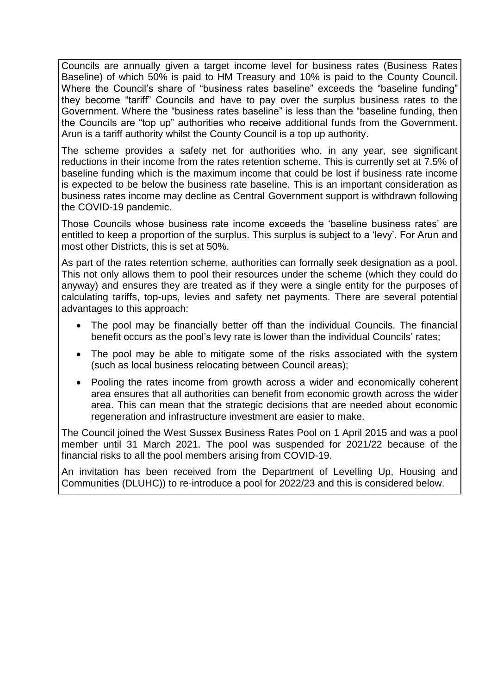Councils are annually given a target income level for business rates (Business Rates Baseline) of which 50% is paid to HM Treasury and 10% is paid to the County Council. Where the Council's share of "business rates baseline" exceeds the "baseline funding" they become "tariff" Councils and have to pay over the surplus business rates to the Government. Where the "business rates baseline" is less than the "baseline funding, then the Councils are "top up" authorities who receive additional funds from the Government. Arun is a tariff authority whilst the County Council is a top up authority.

The scheme provides a safety net for authorities who, in any year, see significant reductions in their income from the rates retention scheme. This is currently set at 7.5% of baseline funding which is the maximum income that could be lost if business rate income is expected to be below the business rate baseline. This is an important consideration as business rates income may decline as Central Government support is withdrawn following the COVID-19 pandemic.

Those Councils whose business rate income exceeds the 'baseline business rates' are entitled to keep a proportion of the surplus. This surplus is subject to a 'levy'. For Arun and most other Districts, this is set at 50%.

As part of the rates retention scheme, authorities can formally seek designation as a pool. This not only allows them to pool their resources under the scheme (which they could do anyway) and ensures they are treated as if they were a single entity for the purposes of calculating tariffs, top-ups, levies and safety net payments. There are several potential advantages to this approach:

- The pool may be financially better off than the individual Councils. The financial benefit occurs as the pool's levy rate is lower than the individual Councils' rates;
- The pool may be able to mitigate some of the risks associated with the system (such as local business relocating between Council areas);
- Pooling the rates income from growth across a wider and economically coherent area ensures that all authorities can benefit from economic growth across the wider area. This can mean that the strategic decisions that are needed about economic regeneration and infrastructure investment are easier to make.

The Council joined the West Sussex Business Rates Pool on 1 April 2015 and was a pool member until 31 March 2021. The pool was suspended for 2021/22 because of the financial risks to all the pool members arising from COVID-19.

An invitation has been received from the Department of Levelling Up, Housing and Communities (DLUHC)) to re-introduce a pool for 2022/23 and this is considered below.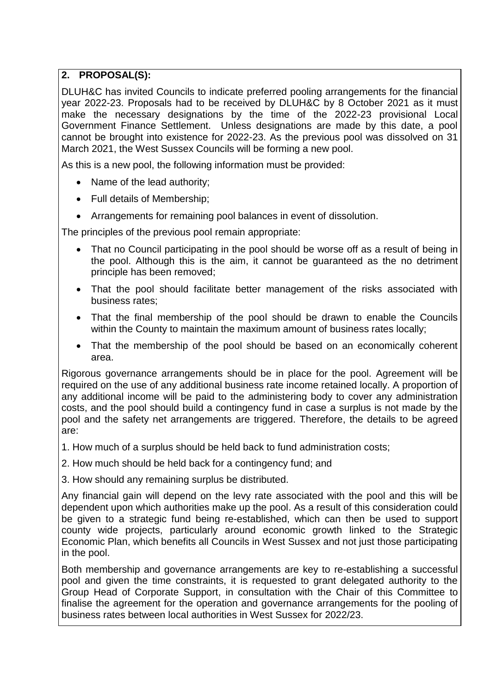### **2. PROPOSAL(S):**

DLUH&C has invited Councils to indicate preferred pooling arrangements for the financial year 2022-23. Proposals had to be received by DLUH&C by 8 October 2021 as it must make the necessary designations by the time of the 2022-23 provisional Local Government Finance Settlement. Unless designations are made by this date, a pool cannot be brought into existence for 2022-23. As the previous pool was dissolved on 31 March 2021, the West Sussex Councils will be forming a new pool.

As this is a new pool, the following information must be provided:

- Name of the lead authority;
- Full details of Membership;
- Arrangements for remaining pool balances in event of dissolution.

The principles of the previous pool remain appropriate:

- That no Council participating in the pool should be worse off as a result of being in the pool. Although this is the aim, it cannot be guaranteed as the no detriment principle has been removed;
- That the pool should facilitate better management of the risks associated with business rates;
- That the final membership of the pool should be drawn to enable the Councils within the County to maintain the maximum amount of business rates locally;
- That the membership of the pool should be based on an economically coherent area.

Rigorous governance arrangements should be in place for the pool. Agreement will be required on the use of any additional business rate income retained locally. A proportion of any additional income will be paid to the administering body to cover any administration costs, and the pool should build a contingency fund in case a surplus is not made by the pool and the safety net arrangements are triggered. Therefore, the details to be agreed are:

- 1. How much of a surplus should be held back to fund administration costs;
- 2. How much should be held back for a contingency fund; and
- 3. How should any remaining surplus be distributed.

Any financial gain will depend on the levy rate associated with the pool and this will be dependent upon which authorities make up the pool. As a result of this consideration could be given to a strategic fund being re-established, which can then be used to support county wide projects, particularly around economic growth linked to the Strategic Economic Plan, which benefits all Councils in West Sussex and not just those participating in the pool.

Both membership and governance arrangements are key to re-establishing a successful pool and given the time constraints, it is requested to grant delegated authority to the Group Head of Corporate Support, in consultation with the Chair of this Committee to finalise the agreement for the operation and governance arrangements for the pooling of business rates between local authorities in West Sussex for 2022/23.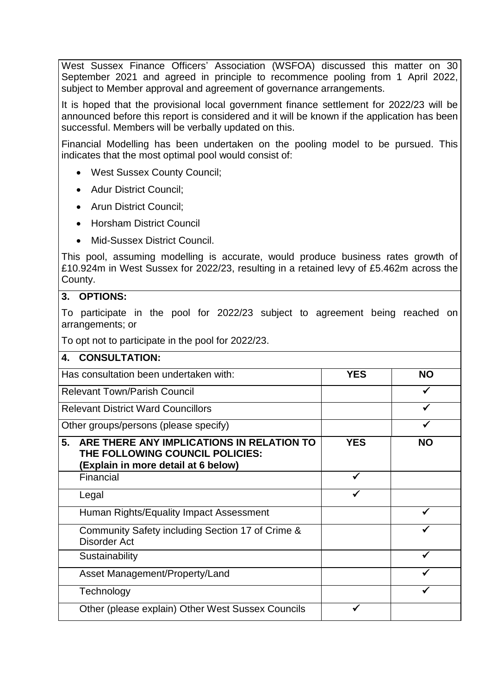West Sussex Finance Officers' Association (WSFOA) discussed this matter on 30 September 2021 and agreed in principle to recommence pooling from 1 April 2022, subject to Member approval and agreement of governance arrangements.

It is hoped that the provisional local government finance settlement for 2022/23 will be announced before this report is considered and it will be known if the application has been successful. Members will be verbally updated on this.

Financial Modelling has been undertaken on the pooling model to be pursued. This indicates that the most optimal pool would consist of:

- West Sussex County Council;
- Adur District Council;
- Arun District Council;
- Horsham District Council
- Mid-Sussex District Council.

This pool, assuming modelling is accurate, would produce business rates growth of £10.924m in West Sussex for 2022/23, resulting in a retained levy of £5.462m across the County.

#### **3. OPTIONS:**

To participate in the pool for 2022/23 subject to agreement being reached on arrangements; or

To opt not to participate in the pool for 2022/23.

| <b>CONSULTATION:</b><br>4.                                                                                                |            |           |
|---------------------------------------------------------------------------------------------------------------------------|------------|-----------|
| Has consultation been undertaken with:                                                                                    | <b>YES</b> | ΝO        |
| <b>Relevant Town/Parish Council</b>                                                                                       |            |           |
| <b>Relevant District Ward Councillors</b>                                                                                 |            |           |
| Other groups/persons (please specify)                                                                                     |            |           |
| 5.<br>ARE THERE ANY IMPLICATIONS IN RELATION TO<br>THE FOLLOWING COUNCIL POLICIES:<br>(Explain in more detail at 6 below) | <b>YES</b> | <b>NO</b> |
| Financial                                                                                                                 |            |           |
| Legal                                                                                                                     |            |           |
| Human Rights/Equality Impact Assessment                                                                                   |            | ✔         |
| Community Safety including Section 17 of Crime &<br>Disorder Act                                                          |            |           |
| Sustainability                                                                                                            |            |           |
| Asset Management/Property/Land                                                                                            |            |           |
| Technology                                                                                                                |            |           |
| Other (please explain) Other West Sussex Councils                                                                         |            |           |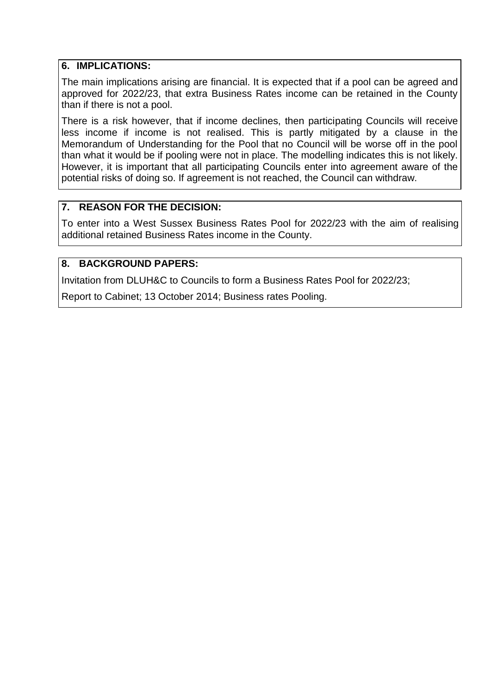#### **6. IMPLICATIONS:**

The main implications arising are financial. It is expected that if a pool can be agreed and approved for 2022/23, that extra Business Rates income can be retained in the County than if there is not a pool.

There is a risk however, that if income declines, then participating Councils will receive less income if income is not realised. This is partly mitigated by a clause in the Memorandum of Understanding for the Pool that no Council will be worse off in the pool than what it would be if pooling were not in place. The modelling indicates this is not likely. However, it is important that all participating Councils enter into agreement aware of the potential risks of doing so. If agreement is not reached, the Council can withdraw.

#### **7. REASON FOR THE DECISION:**

To enter into a West Sussex Business Rates Pool for 2022/23 with the aim of realising additional retained Business Rates income in the County.

#### **8. BACKGROUND PAPERS:**

Invitation from DLUH&C to Councils to form a Business Rates Pool for 2022/23;

Report to Cabinet; 13 October 2014; Business rates Pooling.